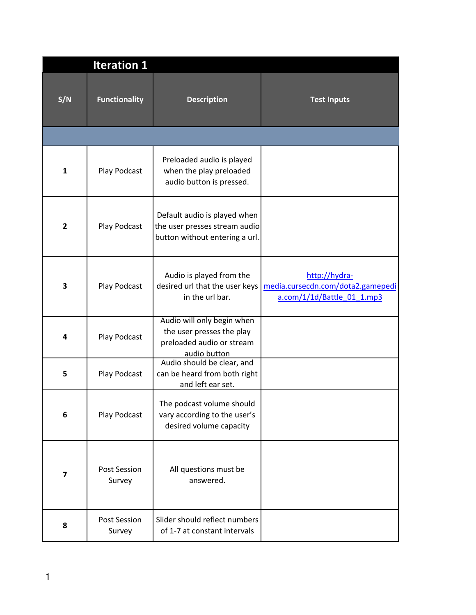|                         | <b>Iteration 1</b>            |                                                                                                      |                                                                                  |
|-------------------------|-------------------------------|------------------------------------------------------------------------------------------------------|----------------------------------------------------------------------------------|
| S/N                     | <b>Functionality</b>          | <b>Description</b>                                                                                   | <b>Test Inputs</b>                                                               |
|                         |                               |                                                                                                      |                                                                                  |
| $\mathbf{1}$            | Play Podcast                  | Preloaded audio is played<br>when the play preloaded<br>audio button is pressed.                     |                                                                                  |
| $\overline{2}$          | Play Podcast                  | Default audio is played when<br>the user presses stream audio<br>button without entering a url.      |                                                                                  |
| 3                       | Play Podcast                  | Audio is played from the<br>desired url that the user keys<br>in the url bar.                        | http://hydra-<br>media.cursecdn.com/dota2.gamepedi<br>a.com/1/1d/Battle_01_1.mp3 |
| 4                       | Play Podcast                  | Audio will only begin when<br>the user presses the play<br>preloaded audio or stream<br>audio button |                                                                                  |
| 5                       | Play Podcast                  | Audio should be clear, and<br>can be heard from both right<br>and left ear set.                      |                                                                                  |
| 6                       | Play Podcast                  | The podcast volume should<br>vary according to the user's<br>desired volume capacity                 |                                                                                  |
| $\overline{\mathbf{z}}$ | <b>Post Session</b><br>Survey | All questions must be<br>answered.                                                                   |                                                                                  |
| 8                       | Post Session<br>Survey        | Slider should reflect numbers<br>of 1-7 at constant intervals                                        |                                                                                  |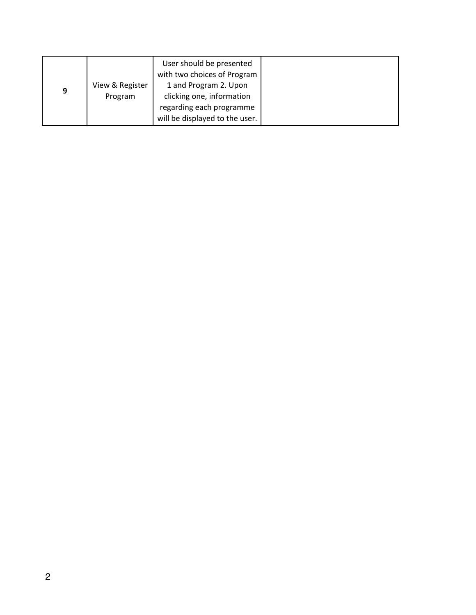|   |                 | User should be presented<br>with two choices of Program |
|---|-----------------|---------------------------------------------------------|
| 9 | View & Register | 1 and Program 2. Upon                                   |
|   | Program         | clicking one, information                               |
|   |                 | regarding each programme                                |
|   |                 | will be displayed to the user.                          |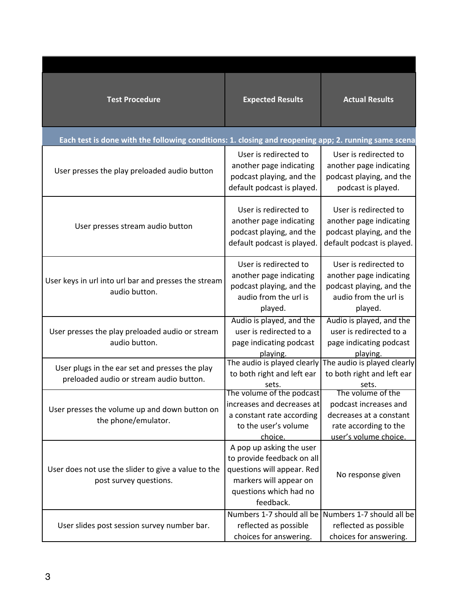| <b>Test Procedure</b>                                                                                | <b>Expected Results</b>                                                                                                                               | <b>Actual Results</b>                                                                                            |
|------------------------------------------------------------------------------------------------------|-------------------------------------------------------------------------------------------------------------------------------------------------------|------------------------------------------------------------------------------------------------------------------|
| Each test is done with the following conditions: 1. closing and reopening app; 2. running same scena |                                                                                                                                                       |                                                                                                                  |
| User presses the play preloaded audio button                                                         | User is redirected to<br>another page indicating<br>podcast playing, and the<br>default podcast is played.                                            | User is redirected to<br>another page indicating<br>podcast playing, and the<br>podcast is played.               |
| User presses stream audio button                                                                     | User is redirected to<br>another page indicating<br>podcast playing, and the<br>default podcast is played.                                            | User is redirected to<br>another page indicating<br>podcast playing, and the<br>default podcast is played.       |
| User keys in url into url bar and presses the stream<br>audio button.                                | User is redirected to<br>another page indicating<br>podcast playing, and the<br>audio from the url is<br>played.                                      | User is redirected to<br>another page indicating<br>podcast playing, and the<br>audio from the url is<br>played. |
| User presses the play preloaded audio or stream<br>audio button.                                     | Audio is played, and the<br>user is redirected to a<br>page indicating podcast<br>playing.                                                            | Audio is played, and the<br>user is redirected to a<br>page indicating podcast<br>playing.                       |
| User plugs in the ear set and presses the play<br>preloaded audio or stream audio button.            | The audio is played clearly The audio is played clearly<br>to both right and left ear<br>sets.<br>The volume of the podcast                           | to both right and left ear<br>sets.<br>The volume of the                                                         |
| User presses the volume up and down button on<br>the phone/emulator.                                 | increases and decreases at<br>a constant rate according<br>to the user's volume<br>choice.                                                            | podcast increases and<br>decreases at a constant<br>rate according to the<br>user's volume choice.               |
| User does not use the slider to give a value to the<br>post survey questions.                        | A pop up asking the user<br>to provide feedback on all<br>questions will appear. Red<br>markers will appear on<br>questions which had no<br>feedback. | No response given                                                                                                |
| User slides post session survey number bar.                                                          | Numbers 1-7 should all be Numbers 1-7 should all be<br>reflected as possible<br>choices for answering.                                                | reflected as possible<br>choices for answering.                                                                  |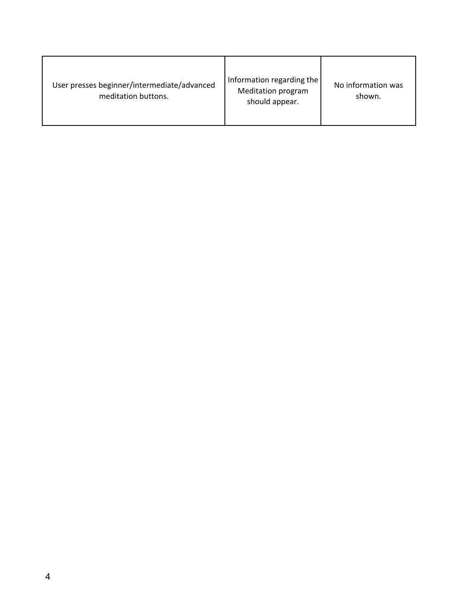| User presses beginner/intermediate/advanced<br>meditation buttons. | Information regarding the<br><b>Meditation program</b><br>should appear. | No information was<br>shown. |
|--------------------------------------------------------------------|--------------------------------------------------------------------------|------------------------------|
|--------------------------------------------------------------------|--------------------------------------------------------------------------|------------------------------|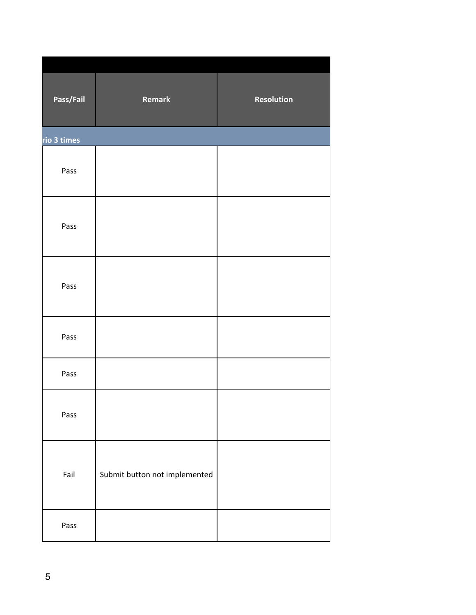|             | Pass/Fail | Remark                        | Resolution |
|-------------|-----------|-------------------------------|------------|
| rio 3 times |           |                               |            |
|             | Pass      |                               |            |
|             | Pass      |                               |            |
|             | Pass      |                               |            |
|             | Pass      |                               |            |
|             | Pass      |                               |            |
|             | Pass      |                               |            |
|             | Fail      | Submit button not implemented |            |
|             | Pass      |                               |            |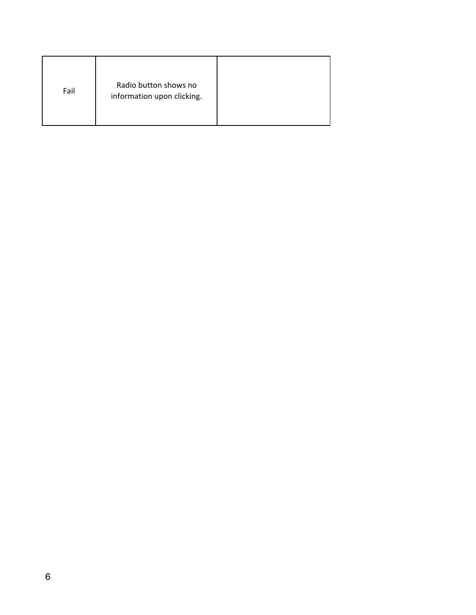| Fail | Radio button shows no<br>information upon clicking. |  |
|------|-----------------------------------------------------|--|
|------|-----------------------------------------------------|--|